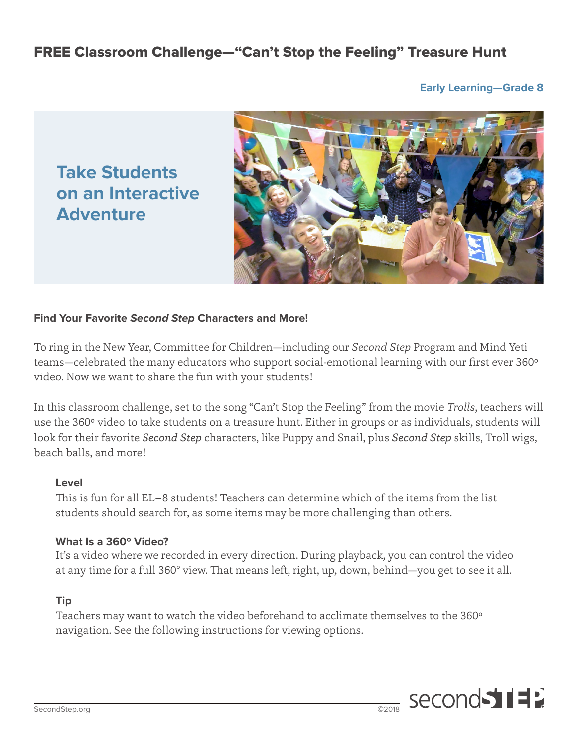# **Early Learning—Grade 8**

**Take Students on an Interactive Adventure**



## **Find Your Favorite Second Step Characters and More!**

To ring in the New Year, Committee for Children—including our *Second Step* Program and Mind Yeti teams—celebrated the many educators who support social-emotional learning with our first ever 360º video. Now we want to share the fun with your students!

In this classroom challenge, set to the song "Can't Stop the Feeling" from the movie *Trolls*, teachers will use the 360º video to take students on a treasure hunt. Either in groups or as individuals, students will look for their favorite *Second Step* characters, like Puppy and Snail, plus *Second Step* skills, Troll wigs, beach balls, and more!

### **Level**

This is fun for all EL–8 students! Teachers can determine which of the items from the list students should search for, as some items may be more challenging than others.

## **What Is a 360º Video?**

It's a video where we recorded in every direction. During playback, you can control the video at any time for a full 360° view. That means left, right, up, down, behind—you get to see it all.

## **Tip**

Teachers may want to watch the video beforehand to acclimate themselves to the 360º navigation. See the following instructions for viewing options.

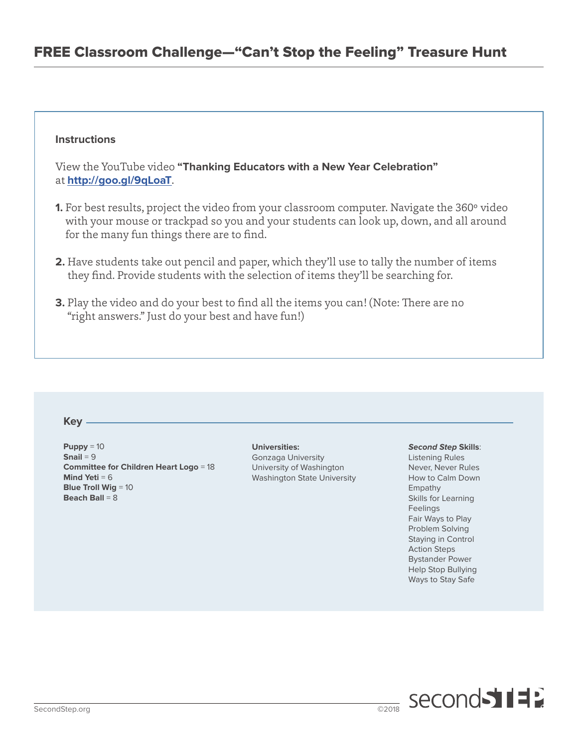## **Instructions**

View the YouTube video **"Thanking Educators with a New Year Celebration"** at **<http://goo.gl/9qLoaT>**.

- **1.** For best results, project the video from your classroom computer. Navigate the 360° video with your mouse or trackpad so you and your students can look up, down, and all around for the many fun things there are to find.
- **2.** Have students take out pencil and paper, which they'll use to tally the number of items they find. Provide students with the selection of items they'll be searching for.
- **3.** Play the video and do your best to find all the items you can! (Note: There are no "right answers." Just do your best and have fun!)

#### **Key**

**Puppy** = 10 **Snail** = 9 **Committee for Children Heart Logo** = 18 **Mind Yeti** = 6 **Blue Troll Wig** = 10 **Beach Ball** = 8

#### **Universities:**

Gonzaga University University of Washington Washington State University

#### **Second Step Skills**:

Listening Rules Never, Never Rules How to Calm Down Empathy Skills for Learning Feelings Fair Ways to Play Problem Solving Staying in Control Action Steps Bystander Power Help Stop Bullying Ways to Stay Safe